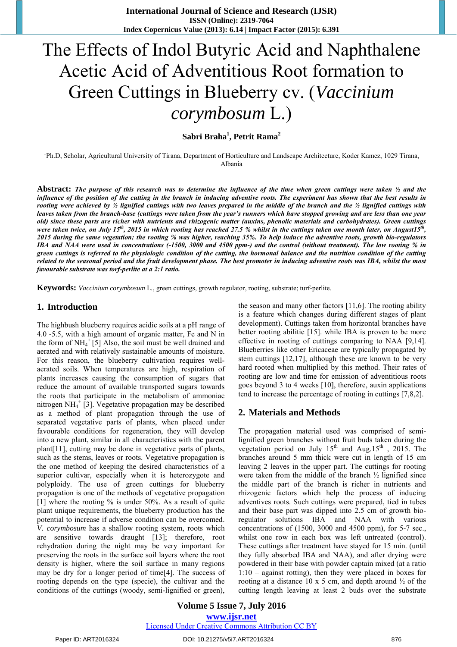# The Effects of Indol Butyric Acid and Naphthalene Acetic Acid of Adventitious Root formation to Green Cuttings in Blueberry cv. (*Vaccinium corymbosum* L.)

### **Sabri Braha<sup>1</sup> , Petrit Rama<sup>2</sup>**

<sup>1</sup>Ph.D, Scholar, Agricultural University of Tirana, Department of Horticulture and Landscape Architecture, Koder Kamez, 1029 Tirana, Albania

Abstract: The purpose of this research was to determine the influence of the time when green cuttings were taken 1/2 and the influence of the position of the cutting in the branch in inducing adventive roots. The experiment has shown that the best results in rooting were achieved by  $\frac{1}{2}$  lignified cuttings with two leaves prepared in the middle of the branch and the  $\frac{1}{2}$  lignified cuttings with leaves taken from the branch-base (cuttings were taken from the year's runners which have stopped growing and are less than one year old) since these parts are richer with nutrients and rhizogenic matter (auxins, phenolic materials and carbohydrates). Green cuttings were taken twice, on July 15<sup>th</sup>, 2015 in which rooting has reached 27.5 % whilst in the cuttings taken one month later, on August15<sup>th</sup>, 2015 during the same vegetation; the rooting % was higher, reaching 35%. To help induce the adventive roots, growth bio-regulators IBA and NAA were used in concentrations (-1500, 3000 and 4500 ppm-) and the control (without treatment). The low rooting % in green cuttings is referred to the physiologic condition of the cutting, the hormonal balance and the nutrition condition of the cutting related to the seasonal period and the fruit development phase. The best promoter in inducing adventive roots was IBA, whilst the most *favourable substrate was torf-perlite at a 2:1 ratio.*

**Keywords:** *Vaccinium corymbosum* L*.*, green cuttings, growth regulator, rooting, substrate; turf-perlite.

#### **1. Introduction**

The highbush blueberry requires acidic soils at a pH range of 4.0 -5.5, with a high amount of organic matter, Fe and N in the form of  $NH_4^+$ [5] Also, the soil must be well drained and aerated and with relatively sustainable amounts of moisture. For this reason, the blueberry cultivation requires wellaerated soils. When temperatures are high, respiration of plants increases causing the consumption of sugars that reduce the amount of available transported sugars towards the roots that participate in the metabolism of ammoniac nitrogen NH<sup>4</sup> + [3]. Vegetative propagation may be described as a method of plant propagation through the use of separated vegetative parts of plants, when placed under favourable conditions for regeneration, they will develop into a new plant, similar in all characteristics with the parent plant[11], cutting may be done in vegetative parts of plants, such as the stems, leaves or roots. Vegetative propagation is the one method of keeping the desired characteristics of a superior cultivar, especially when it is heterozygote and polyploidy. The use of green cuttings for blueberry propagation is one of the methods of vegetative propagation [1] where the rooting % is under 50%. As a result of quite plant unique requirements, the blueberry production has the potential to increase if adverse condition can be overcomed. *V. corymbosum* has a shallow rooting system, roots which are sensitive towards draught [13]; therefore, root rehydration during the night may be very important for preserving the roots in the surface soil layers where the root density is higher, where the soil surface in many regions may be dry for a longer period of time[4]. The success of rooting depends on the type (specie), the cultivar and the conditions of the cuttings (woody, semi-lignified or green),

the season and many other factors [11,6]. The rooting ability is a feature which changes during different stages of plant development). Cuttings taken from horizontal branches have better rooting abilitie [15]. while IBA is proven to be more effective in rooting of cuttings comparing to NAA [9,14]. Blueberries like other Ericaceae are typically propagated by stem cuttings [12,17], although these are known to be very hard rooted when multiplied by this method. Their rates of rooting are low and time for emission of adventitious roots goes beyond 3 to 4 weeks [10], therefore, auxin applications tend to increase the percentage of rooting in cuttings [7,8,2].

#### **2. Materials and Methods**

The propagation material used was comprised of semilignified green branches without fruit buds taken during the vegetation period on July  $15^{th}$  and Aug.15<sup>th</sup>, 2015. The branches around 5 mm thick were cut in length of 15 cm leaving 2 leaves in the upper part. The cuttings for rooting were taken from the middle of the branch ½ lignified since the middle part of the branch is richer in nutrients and rhizogenic factors which help the process of inducing adventives roots. Such cuttings were prepared, tied in tubes and their base part was dipped into 2.5 cm of growth bioregulator solutions IBA and NAA with various concentrations of (1500, 3000 and 4500 ppm), for 5-7 sec., whilst one row in each box was left untreated (control). These cuttings after treatment have stayed for 15 min. (until they fully absorbed IBA and NAA), and after drying were powdered in their base with powder captain mixed (at a ratio 1:10 – against rotting), then they were placed in boxes for rooting at a distance 10 x 5 cm, and depth around  $\frac{1}{2}$  of the cutting length leaving at least 2 buds over the substrate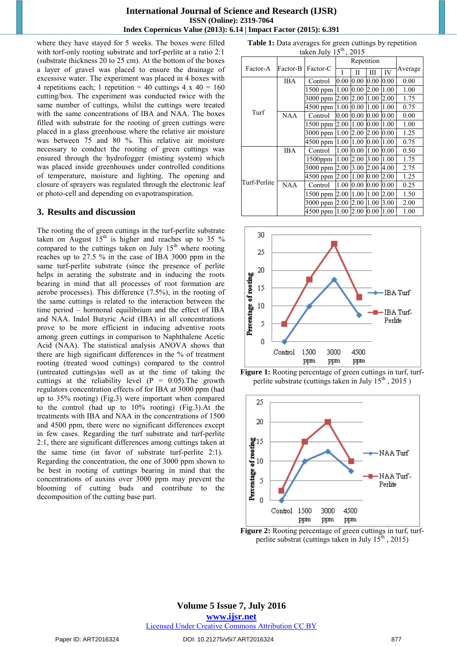where they have stayed for 5 weeks. The boxes were filled with torf-only rooting substrate and torf-perlite at a ratio 2:1 (substrate thickness 20 to 25 cm). At the bottom of the boxes a layer of gravel was placed to ensure the drainage of excessive water. The experiment was placed in 4 boxes with 4 repetitions each; 1 repetition = 40 cuttings 4 x 40 = 160 cutting/box. The experiment was conducted twice with the same number of cuttings, whilst the cuttings were treated with the same concentrations of IBA and NAA. The boxes filled with substrate for the rooting of green cuttings were placed in a glass greenhouse where the relative air moisture was between 75 and 80 %. This relative air moisture necessary to conduct the rooting of green cuttings was ensured through the hydrofogger (misting system) which was placed inside greenhouses under controlled conditions of temperature, moisture and lighting. The opening and closure of sprayers was regulated through the electronic leaf or photo-cell and depending on evapotranspiration.

#### **3. Results and discussion**

The rooting the of green cuttings in the turf-perlite substrate taken on August  $15<sup>th</sup>$  is higher and reaches up to 35 % compared to the cuttings taken on July  $15<sup>th</sup>$  where rooting reaches up to 27.5 % in the case of IBA 3000 ppm in the same turf-perlite substrate (since the presence of perlite helps in aerating the substrate and in inducing the roots bearing in mind that all processes of root formation are aerobe processes). This difference (7.5%), in the rooting of the same cuttings is related to the interaction between the time period – hormonal equilibrium and the effect of IBA and NAA. Indol Butyric Acid (IBA) in all concentrations prove to be more efficient in inducing adventive roots among green cuttings in comparison to Naphthalene Acetic Acid (NAA). The statistical analysis ANOVA shows that there are high significant differences in the % of treatment rooting (treated wood cuttings) compared to the control (untreated cuttings)as well as at the time of taking the cuttings at the reliability level  $(P = 0.05)$ . The growth regulators concentration effects of for IBA at 3000 ppm (had up to 35% rooting) (Fig.3) were important when compared to the control (had up to 10% rooting) (Fig.3).At the treatments with IBA and NAA in the concentrations of 1500 and 4500 ppm, there were no significant differences except in few cases. Regarding the turf substrate and turf-perlite 2:1, there are significant differences among cuttings taken at the same time (in favor of substrate turf-perlite 2:1). Regarding the concentration, the one of 3000 ppm shown to be best in rooting of cuttings bearing in mind that the concentrations of auxins over 3000 ppm may prevent the blooming of cutting buds and contribute to the decomposition of the cutting base part.

**Table 1:** Data averages for green cuttings by repetition taken July  $15^{th}$ , 2015

| $\frac{1}{2}$<br>$, z \cup 1 \cup$ |            |                              |      |                      |      |      |         |  |  |
|------------------------------------|------------|------------------------------|------|----------------------|------|------|---------|--|--|
|                                    |            |                              |      | Repetition           |      |      |         |  |  |
| Factor-A                           | Factor-B   | Factor-C                     | I    | $\mathbf{I}$         | Ш    | IV   | Average |  |  |
|                                    | IBA        | Control                      | 0.00 | 0.00                 | 0.00 | 0.00 | 0.00    |  |  |
|                                    |            | 1500 ppm 1.00 0.00 2.00      |      |                      |      | 1.00 | 1.00    |  |  |
|                                    |            | 3000 ppm 2.00 2.00 1.00      |      |                      |      | 2.00 | 1.75    |  |  |
|                                    |            | 4500 ppm 1.00 0.00           |      |                      | 1.00 | 1.00 | 0.75    |  |  |
| Turf                               | NAA        | Control                      |      | $0.00$ $0.00$ $0.00$ |      | 0.00 | 0.00    |  |  |
|                                    |            | 1500 ppm 2.00 1.00 0.00      |      |                      |      | 1.00 | 1.00    |  |  |
|                                    |            | 3000 ppm 1.00 2.00 2.00 0.00 |      |                      |      |      | 1.25    |  |  |
|                                    |            | 4500 ppm 1.00 1.00 0.00 1.00 |      |                      |      |      | 0.75    |  |  |
|                                    | IBA        | Control                      |      | 1.00 0.00            | 1.00 | 0.00 | 0.50    |  |  |
| Turf-Perlite                       |            | $1500$ ppm                   | 1.00 | $2.00$ $3.00$        |      | 1.00 | 1.75    |  |  |
|                                    |            | 3000 ppm 2.00 3.00 2.00 4.00 |      |                      |      |      | 2.75    |  |  |
|                                    |            | 4500 ppm 2.00                |      | 1.00 0.00            |      | 2.00 | 1.25    |  |  |
|                                    | <b>NAA</b> | Control                      | 1.00 | $0.00\,0.00$         |      | 0.00 | 0.25    |  |  |
|                                    |            | $1500$ ppm                   | 2.00 | 1.00                 | 1.00 | 2.00 | 1.50    |  |  |
|                                    |            | 3000 ppm $2.\overline{00}$   |      | 2.00                 | 1.00 | 3.00 | 2.00    |  |  |
|                                    |            | 4500 ppm 1.00 2.00 0.00 1.00 |      |                      |      |      | 1.00    |  |  |







**Figure 2:** Rooting percentage of green cuttings in turf, turfperlite substrat (cuttings taken in July  $15^{th}$ , 2015)

#### Paper ID: ART2016324 DOI: 10.21275/v5i7.ART2016324 877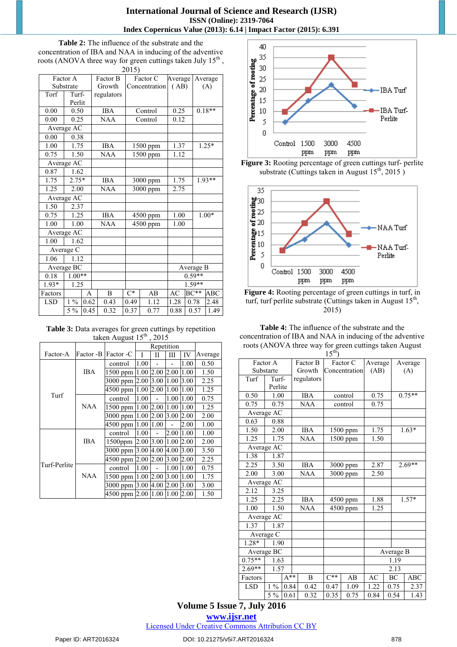#### **International Journal of Science and Research (IJSR) ISSN (Online): 2319-7064 Index Copernicus Value (2013): 6.14 | Impact Factor (2015): 6.391**

**Table 2:** The influence of the substrate and the concentration of IBA and NAA in inducing of the adventive roots (ANOVA three way for green cuttings taken July  $15^{th}$ ,  $2015$ 

| 2013)            |                    |      |            |               |                       |         |      |           |            |  |
|------------------|--------------------|------|------------|---------------|-----------------------|---------|------|-----------|------------|--|
| Factor A         |                    |      | Factor B   | Factor C      |                       | Average |      |           | Average    |  |
|                  | Substrate          |      | Growth     | Concentration |                       | (AB)    |      |           | (A)        |  |
| Torf             | Turf-              |      | regulators |               |                       |         |      |           |            |  |
|                  | Perlit             |      |            |               |                       |         |      |           |            |  |
| 0.00             | 0.50               |      | <b>IBA</b> |               | Control               | 0.25    |      |           | $0.18**$   |  |
| 0.00             | 0.25               |      | <b>NAA</b> |               | Control               | 0.12    |      |           |            |  |
|                  | Average AC         |      |            |               |                       |         |      |           |            |  |
| 0.00             | 0.38               |      |            |               |                       |         |      |           |            |  |
| 1.00             | 1.75               |      | <b>IBA</b> |               | 1500 ppm              |         | 1.37 |           | $1.25*$    |  |
| 0.75             | 1.50               |      | <b>NAA</b> |               | $\overline{1500}$ ppm | 1.12    |      |           |            |  |
|                  | Average AC         |      |            |               |                       |         |      |           |            |  |
| 0.87             | 1.62               |      |            |               |                       |         |      |           |            |  |
| 1.75             | $2.75*$            |      | <b>IBA</b> | 3000 ppm      |                       | 1.75    |      |           | $1.93**$   |  |
| 1.25             | 2.00               |      | <b>NAA</b> |               | 3000 ppm              |         | 2.75 |           |            |  |
| Average AC       |                    |      |            |               |                       |         |      |           |            |  |
| 1.50<br>2.37     |                    |      |            |               |                       |         |      |           |            |  |
| 0.75             | 1.25               |      | <b>IBA</b> | 4500 ppm      |                       | 1.00    |      | $1.00*$   |            |  |
| 1.00             | 1.00               |      | <b>NAA</b> | 4500 ppm      |                       | 1.00    |      |           |            |  |
|                  | Average AC         |      |            |               |                       |         |      |           |            |  |
| 1.00             | 1.62               |      |            |               |                       |         |      |           |            |  |
|                  | Average C          |      |            |               |                       |         |      |           |            |  |
| 1.06             | 1.12               |      |            |               |                       |         |      |           |            |  |
| Average BC       |                    |      |            |               |                       |         |      | Average B |            |  |
| $1.00**$<br>0.18 |                    |      |            |               |                       |         |      | $0.59**$  |            |  |
| $1.93*$          | 1.25               |      |            |               |                       |         |      | $1.59**$  |            |  |
| Factors          |                    | A    | B          | $C^*$         | AB                    | AC      |      | $BC**$    | <b>ABC</b> |  |
| <b>LSD</b>       | $\frac{0}{0}$<br>1 | 0.62 | 0.43       | 0.49          | 1.12                  | 1.28    |      | 0.78      | 2.48       |  |
|                  | $5\%$              | 0.45 | 0.32       | 0.37          | 0.77                  | 0.88    |      | 0.57      | 1.49       |  |

**Table 3:** Data averages for green cuttings by repetition taken August 15<sup>th</sup>, 2015

|              |            | o                            |            |                          |                |      |         |
|--------------|------------|------------------------------|------------|--------------------------|----------------|------|---------|
|              |            |                              | Repetition |                          |                |      |         |
| Factor-A     |            | Factor -B   Factor -C        | T          | $\mathbf{I}$             | Ш              | IV   | Average |
|              |            | control                      | 1.00       |                          |                | 1.00 | 0.50    |
|              | <b>IBA</b> | 1500 ppm 1.00 2.00 2.00 1.00 |            |                          |                |      | 1.50    |
|              |            | 3000 ppm 2.00                |            | 3.00 1.00 3.00           |                |      | 2.25    |
|              |            | 4500 ppm 1.00 2.00 1.00 1.00 |            |                          |                |      | 1.25    |
| Turf         |            | control                      | 1.00       | ÷,                       | 1.00 1.00      |      | 0.75    |
|              | NAA        | 1500 ppm 1.00 2.00 1.00 1.00 |            |                          |                |      | 1.25    |
|              |            | 3000 ppm 1.00 2.00 3.00 2.00 |            |                          |                |      | 2.00    |
|              |            | 4500 ppm 1.00 1.00           |            |                          | $\overline{a}$ | 2.00 | 1.00    |
|              |            | control                      | 1.00       | $\overline{\phantom{a}}$ | 2.00 1.00      |      | 1.00    |
|              | <b>IBA</b> | $1500$ ppm                   | 2.00       | 3.00 1.00 2.00           |                |      | 2.00    |
| Turf-Perlite |            | 3000 ppm 3.00                |            | 4.00 4.00 3.00           |                |      | 3.50    |
|              |            | 4500 ppm 2.00 2.00 3.00 2.00 |            |                          |                |      | 2.25    |
|              |            | control                      | 1.00       | $\overline{a}$           | 1.00 1.00      |      | 0.75    |
|              | NAA        | 1500 ppm 1.00                |            | 2.00                     | 3.00 1.00      |      | 1.75    |
|              |            | 3000 ppm 3.00 4.00           |            |                          | $2.00$ $3.00$  |      | 3.00    |
|              |            | 4500 ppm 2.00 1.00 1.00 2.00 |            |                          |                |      | 1.50    |



**Figure 3:** Rooting percentage of green cuttings turf- perlite substrate (Cuttings taken in August  $15^{th}$ , 2015)



**Figure 4:** Rooting percentage of green cuttings in turf, in turf, turf perlite substrate (Cuttings taken in August  $15<sup>th</sup>$ , 2015)

**Table 4:** The influence of the substrate and the concentration of IBA and NAA in inducing of the adventive roots (ANOVA three way for green cuttings taken August

| 15 <sup>th</sup> |           |          |  |            |                       |          |         |           |         |            |
|------------------|-----------|----------|--|------------|-----------------------|----------|---------|-----------|---------|------------|
| Factor A         |           |          |  | Factor B   | Factor C              |          | Average |           | Average |            |
|                  | Substarte |          |  | Growth     | Concentration         |          | (AB)    |           |         | (A)        |
| Turf             | Turf-     |          |  | regulators |                       |          |         |           |         |            |
|                  | Perlite   |          |  |            |                       |          |         |           |         |            |
| 0.50             | 1.00      |          |  | <b>IBA</b> |                       | control  |         | 0.75      |         | $0.75**$   |
| 0.75             | 0.75      |          |  | <b>NAA</b> |                       | control  | 0.75    |           |         |            |
| Average AC       |           |          |  |            |                       |          |         |           |         |            |
| 0.63             | 0.88      |          |  |            |                       |          |         |           |         |            |
| 1.50             | 2.00      |          |  | <b>IBA</b> |                       | 1500 ppm | 1.75    |           |         | $1.63*$    |
| 1.25             | 1.75      |          |  | <b>NAA</b> |                       | 1500 ppm | 1.50    |           |         |            |
| Average AC       |           |          |  |            |                       |          |         |           |         |            |
| 1.38             | 1.87      |          |  |            |                       |          |         |           |         |            |
| 2.25             | 3.50      |          |  | <b>IBA</b> | 3000 ppm              |          | 2.87    |           |         | $2.69**$   |
| 2.00             | 3.00      |          |  | <b>NAA</b> | 3000 ppm              |          | 2.50    |           |         |            |
| Average AC       |           |          |  |            |                       |          |         |           |         |            |
| 2.12             | 3.25      |          |  |            |                       |          |         |           |         |            |
| 1.25             | 2.25      |          |  | <b>IBA</b> |                       | 4500 ppm | 1.88    |           |         | $1.57*$    |
| 1.00             | 1.50      |          |  | <b>NAA</b> | $\overline{4}500$ ppm |          | 1.25    |           |         |            |
| Average AC       |           |          |  |            |                       |          |         |           |         |            |
| 1.37             | 1.87      |          |  |            |                       |          |         |           |         |            |
|                  | Average C |          |  |            |                       |          |         |           |         |            |
| $1.28*$          | 1.90      |          |  |            |                       |          |         |           |         |            |
| Average BC       |           |          |  |            |                       |          |         | Average B |         |            |
| $0.75***$        | 1.63      |          |  |            |                       |          |         | 1.19      |         |            |
| $2.69**$         | 1.57      |          |  |            |                       |          |         | 2.13      |         |            |
| Factors          |           | $A^{**}$ |  | B          | $C^{**}$              | AB       | AC      | BC        |         | <b>ABC</b> |
| LSD              | $1\%$     | 0.84     |  | 0.42       | 0.47                  | 1.09     | 1.22    | 0.75      |         | 2.37       |
|                  | $5\%$     | 0.61     |  | 0.32       | 0.35                  | 0.75     | 0.84    | 0.54      |         | 1.43       |

# **Volume 5 Issue 7, July 2016**

**www.ijsr.net**

Licensed Under Creative Commons Attribution CC BY